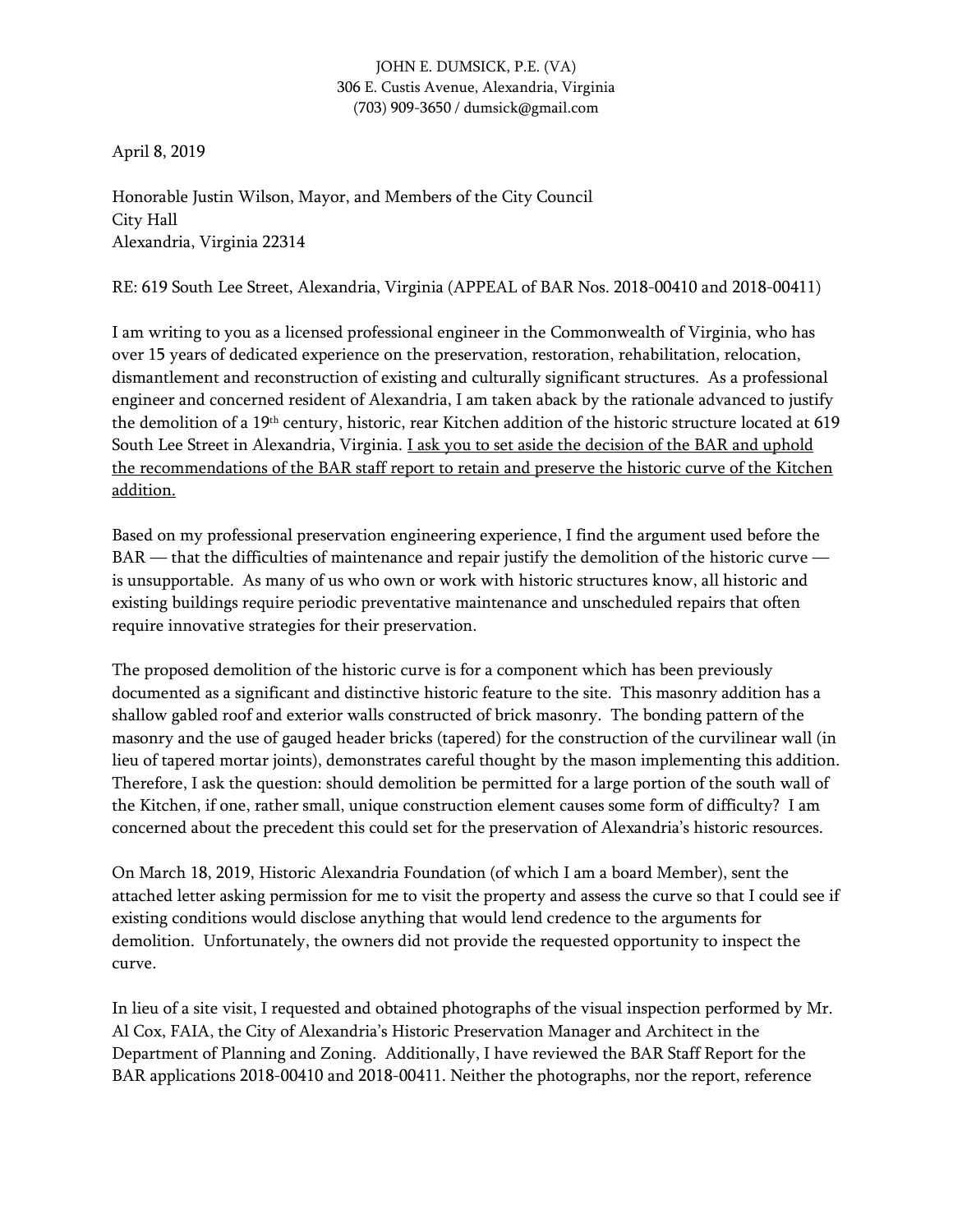# JOHN E. DUMSICK, P.E. (VA) 306 E. Custis Avenue, Alexandria, Virginia (703) 909-3650 / dumsick@gmail.com

April 8, 2019

Honorable Justin Wilson, Mayor, and Members of the City Council City Hall Alexandria, Virginia 22314

RE: 619 South Lee Street, Alexandria, Virginia (APPEAL of BAR Nos. 2018-00410 and 2018-00411)

I am writing to you as a licensed professional engineer in the Commonwealth of Virginia, who has over 15 years of dedicated experience on the preservation, restoration, rehabilitation, relocation, dismantlement and reconstruction of existing and culturally significant structures. As a professional engineer and concerned resident of Alexandria, I am taken aback by the rationale advanced to justify the demolition of a 19th century, historic, rear Kitchen addition of the historic structure located at 619 South Lee Street in Alexandria, Virginia. *I ask you to set aside the decision of the BAR and uphold* the recommendations of the BAR staff report to retain and preserve the historic curve of the Kitchen addition.

Based on my professional preservation engineering experience, I find the argument used before the BAR — that the difficulties of maintenance and repair justify the demolition of the historic curve is unsupportable. As many of us who own or work with historic structures know, all historic and existing buildings require periodic preventative maintenance and unscheduled repairs that often require innovative strategies for their preservation.

The proposed demolition of the historic curve is for a component which has been previously documented as a significant and distinctive historic feature to the site. This masonry addition has a shallow gabled roof and exterior walls constructed of brick masonry. The bonding pattern of the masonry and the use of gauged header bricks (tapered) for the construction of the curvilinear wall (in lieu of tapered mortar joints), demonstrates careful thought by the mason implementing this addition. Therefore, I ask the question: should demolition be permitted for a large portion of the south wall of the Kitchen, if one, rather small, unique construction element causes some form of difficulty? I am concerned about the precedent this could set for the preservation of Alexandria's historic resources.

On March 18, 2019, Historic Alexandria Foundation (of which I am a board Member), sent the attached letter asking permission for me to visit the property and assess the curve so that I could see if existing conditions would disclose anything that would lend credence to the arguments for demolition. Unfortunately, the owners did not provide the requested opportunity to inspect the curve.

In lieu of a site visit, I requested and obtained photographs of the visual inspection performed by Mr. Al Cox, FAIA, the City of Alexandria's Historic Preservation Manager and Architect in the Department of Planning and Zoning. Additionally, I have reviewed the BAR Staff Report for the BAR applications 2018-00410 and 2018-00411. Neither the photographs, nor the report, reference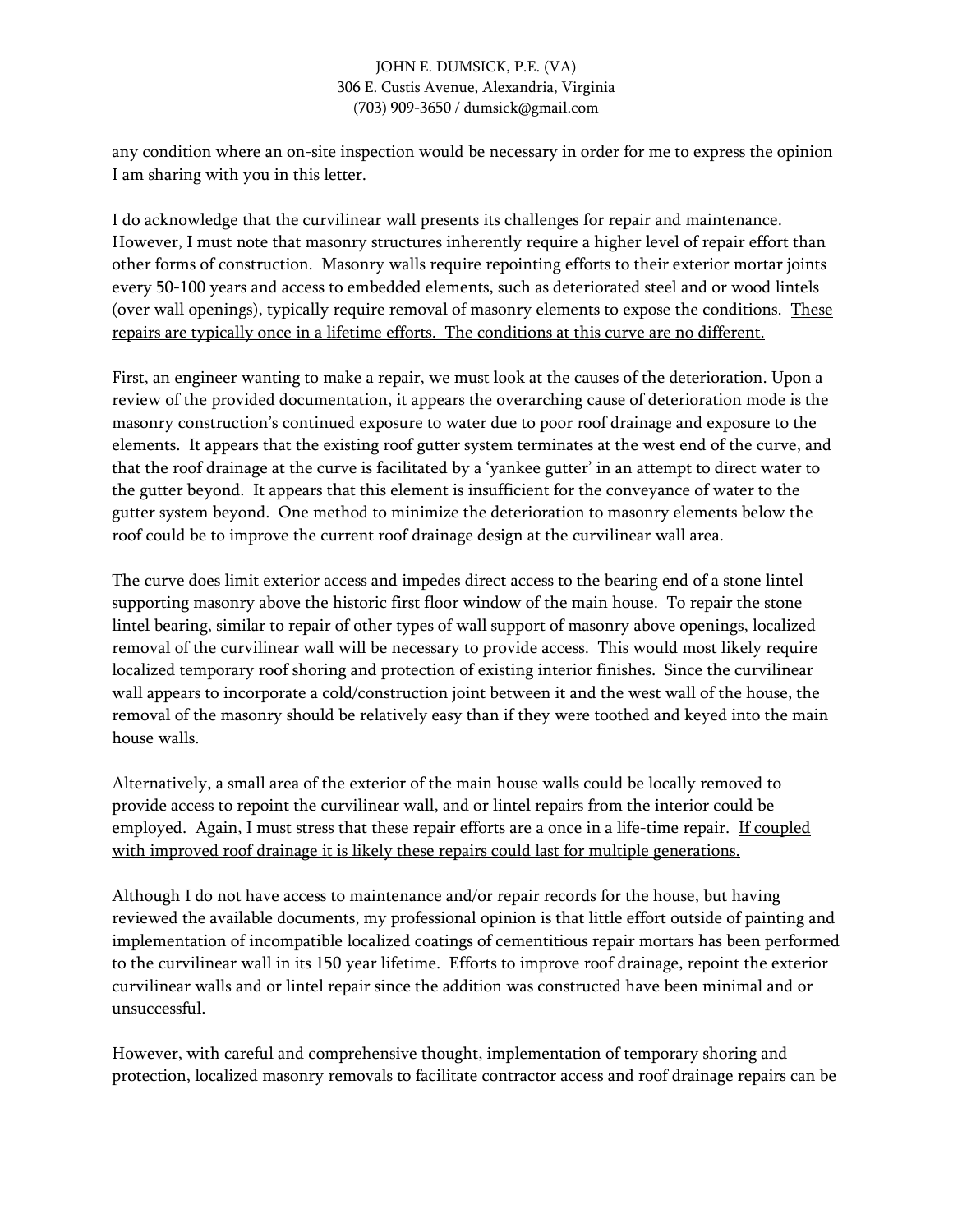# JOHN E. DUMSICK, P.E. (VA) 306 E. Custis Avenue, Alexandria, Virginia (703) 909-3650 / dumsick@gmail.com

any condition where an on-site inspection would be necessary in order for me to express the opinion I am sharing with you in this letter.

I do acknowledge that the curvilinear wall presents its challenges for repair and maintenance. However, I must note that masonry structures inherently require a higher level of repair effort than other forms of construction. Masonry walls require repointing efforts to their exterior mortar joints every 50-100 years and access to embedded elements, such as deteriorated steel and or wood lintels (over wall openings), typically require removal of masonry elements to expose the conditions. These repairs are typically once in a lifetime efforts. The conditions at this curve are no different.

First, an engineer wanting to make a repair, we must look at the causes of the deterioration. Upon a review of the provided documentation, it appears the overarching cause of deterioration mode is the masonry construction's continued exposure to water due to poor roof drainage and exposure to the elements. It appears that the existing roof gutter system terminates at the west end of the curve, and that the roof drainage at the curve is facilitated by a 'yankee gutter' in an attempt to direct water to the gutter beyond. It appears that this element is insufficient for the conveyance of water to the gutter system beyond. One method to minimize the deterioration to masonry elements below the roof could be to improve the current roof drainage design at the curvilinear wall area.

The curve does limit exterior access and impedes direct access to the bearing end of a stone lintel supporting masonry above the historic first floor window of the main house. To repair the stone lintel bearing, similar to repair of other types of wall support of masonry above openings, localized removal of the curvilinear wall will be necessary to provide access. This would most likely require localized temporary roof shoring and protection of existing interior finishes. Since the curvilinear wall appears to incorporate a cold/construction joint between it and the west wall of the house, the removal of the masonry should be relatively easy than if they were toothed and keyed into the main house walls.

Alternatively, a small area of the exterior of the main house walls could be locally removed to provide access to repoint the curvilinear wall, and or lintel repairs from the interior could be employed. Again, I must stress that these repair efforts are a once in a life-time repair. If coupled with improved roof drainage it is likely these repairs could last for multiple generations.

Although I do not have access to maintenance and/or repair records for the house, but having reviewed the available documents, my professional opinion is that little effort outside of painting and implementation of incompatible localized coatings of cementitious repair mortars has been performed to the curvilinear wall in its 150 year lifetime. Efforts to improve roof drainage, repoint the exterior curvilinear walls and or lintel repair since the addition was constructed have been minimal and or unsuccessful.

However, with careful and comprehensive thought, implementation of temporary shoring and protection, localized masonry removals to facilitate contractor access and roof drainage repairs can be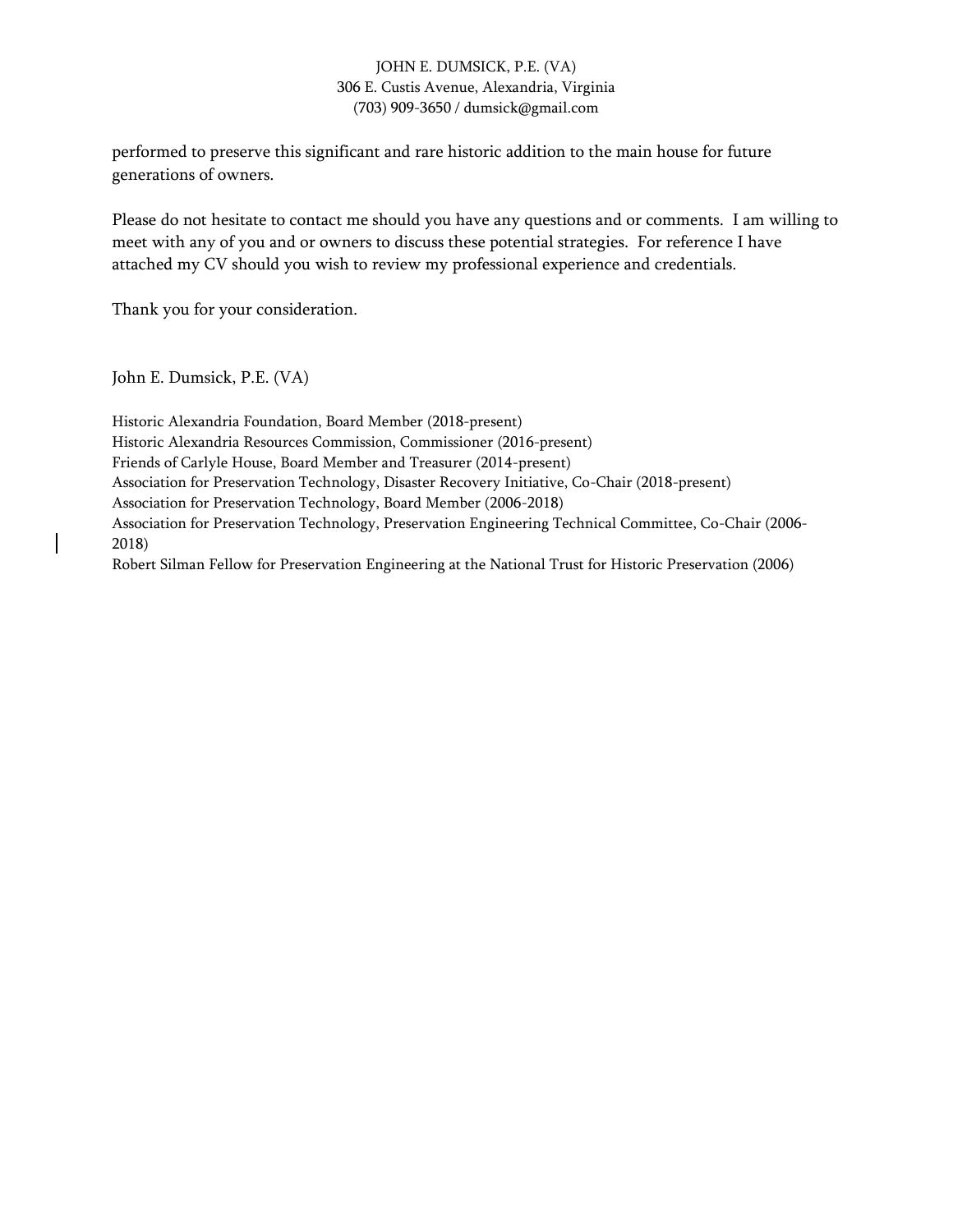# JOHN E. DUMSICK, P.E. (VA) 306 E. Custis Avenue, Alexandria, Virginia (703) 909-3650 / dumsick@gmail.com

performed to preserve this significant and rare historic addition to the main house for future generations of owners.

Please do not hesitate to contact me should you have any questions and or comments. I am willing to meet with any of you and or owners to discuss these potential strategies. For reference I have attached my CV should you wish to review my professional experience and credentials.

Thank you for your consideration.

John E. Dumsick, P.E. (VA)

Historic Alexandria Foundation, Board Member (2018-present) Historic Alexandria Resources Commission, Commissioner (2016-present) Friends of Carlyle House, Board Member and Treasurer (2014-present) Association for Preservation Technology, Disaster Recovery Initiative, Co-Chair (2018-present) Association for Preservation Technology, Board Member (2006-2018) Association for Preservation Technology, Preservation Engineering Technical Committee, Co-Chair (2006- 2018) Robert Silman Fellow for Preservation Engineering at the National Trust for Historic Preservation (2006)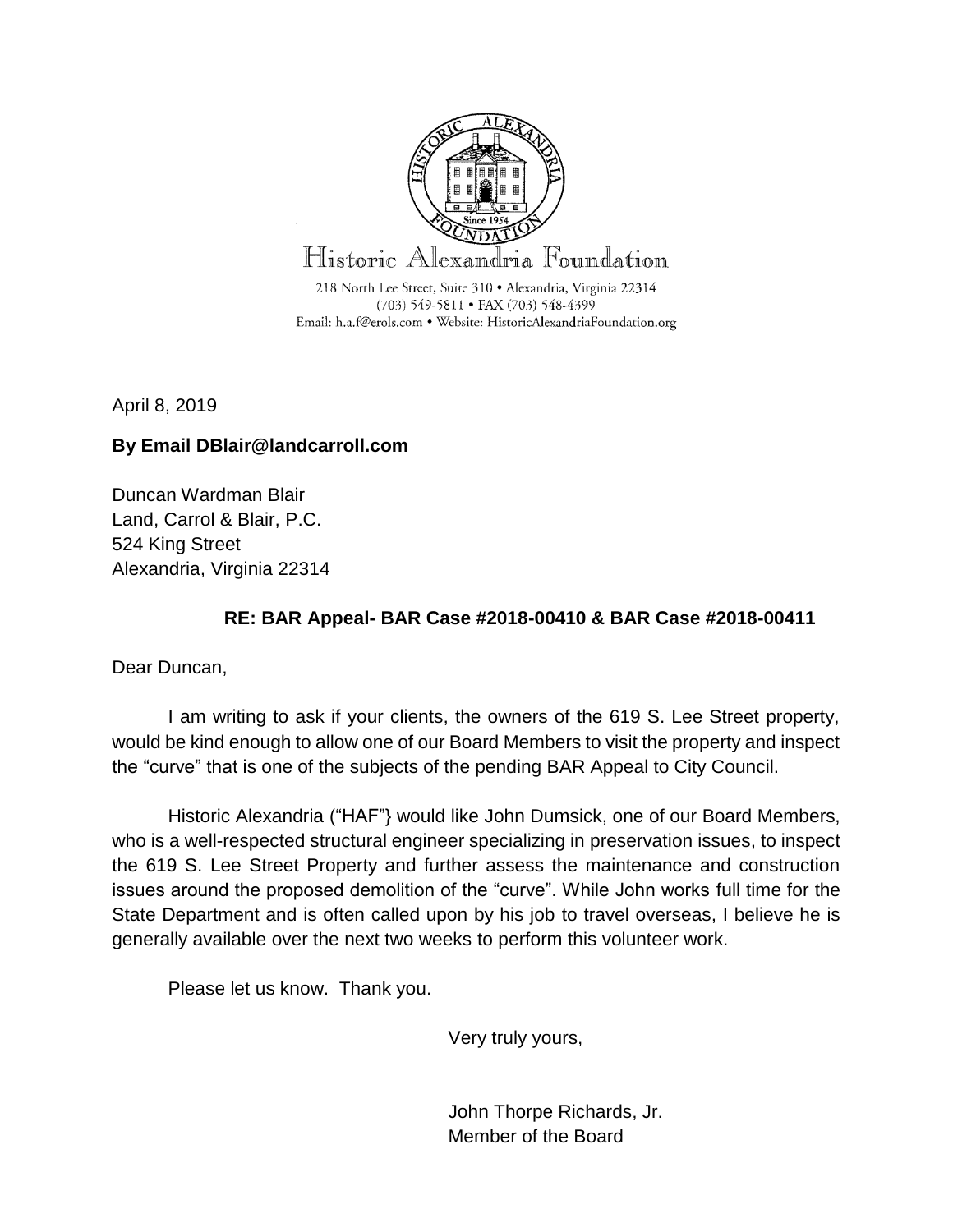

April 8, 2019

# **By Email DBlair@landcarroll.com**

Duncan Wardman Blair Land, Carrol & Blair, P.C. 524 King Street Alexandria, Virginia 22314

# **RE: BAR Appeal- BAR Case #2018-00410 & BAR Case #2018-00411**

Dear Duncan,

I am writing to ask if your clients, the owners of the 619 S. Lee Street property, would be kind enough to allow one of our Board Members to visit the property and inspect the "curve" that is one of the subjects of the pending BAR Appeal to City Council.

Historic Alexandria ("HAF"} would like John Dumsick, one of our Board Members, who is a well-respected structural engineer specializing in preservation issues, to inspect the 619 S. Lee Street Property and further assess the maintenance and construction issues around the proposed demolition of the "curve". While John works full time for the State Department and is often called upon by his job to travel overseas, I believe he is generally available over the next two weeks to perform this volunteer work.

Please let us know. Thank you.

Very truly yours,

John Thorpe Richards, Jr. Member of the Board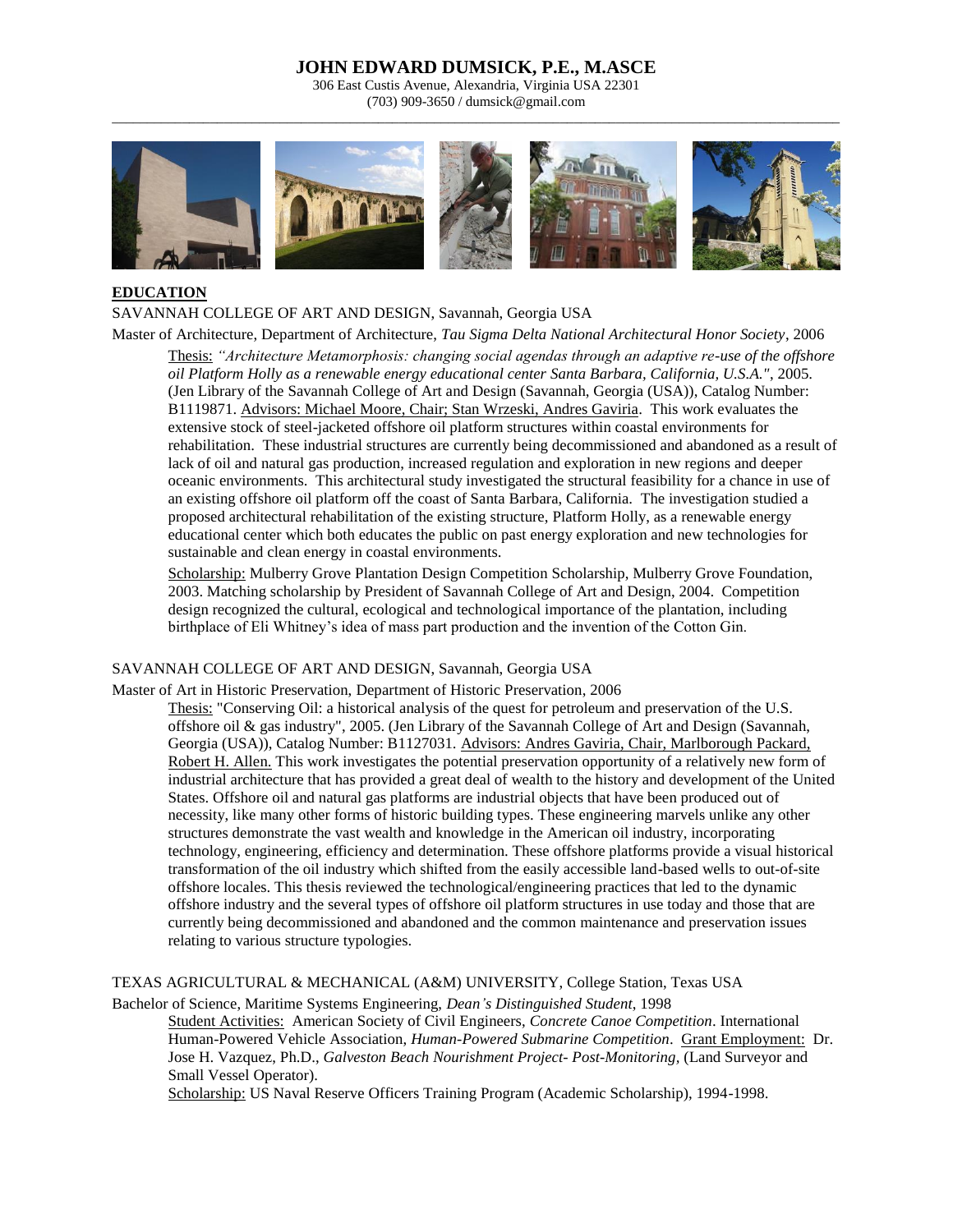306 East Custis Avenue, Alexandria, Virginia USA 22301 (703) 909-3650 / dumsick@gmail.com \_\_\_\_\_\_\_\_\_\_\_\_\_\_\_\_\_\_\_\_\_\_\_\_\_\_\_\_\_\_\_\_\_\_\_\_\_\_\_\_\_\_\_\_\_\_\_\_\_\_\_\_\_\_\_\_\_\_\_\_\_\_\_\_\_\_\_\_\_\_\_\_\_\_\_\_\_\_\_\_\_\_\_\_\_\_\_\_\_\_\_\_\_\_\_\_\_\_\_\_\_\_\_\_



## **EDUCATION**

SAVANNAH COLLEGE OF ART AND DESIGN, Savannah, Georgia USA

Master of Architecture, Department of Architecture, *Tau Sigma Delta National Architectural Honor Society*, 2006 Thesis: *"Architecture Metamorphosis: changing social agendas through an adaptive re-use of the offshore oil Platform Holly as a renewable energy educational center Santa Barbara, California, U.S.A."*, 2005. (Jen Library of the Savannah College of Art and Design (Savannah, Georgia (USA)), Catalog Number: B1119871. Advisors: Michael Moore, Chair; Stan Wrzeski, Andres Gaviria. This work evaluates the extensive stock of steel-jacketed offshore oil platform structures within coastal environments for rehabilitation. These industrial structures are currently being decommissioned and abandoned as a result of lack of oil and natural gas production, increased regulation and exploration in new regions and deeper oceanic environments. This architectural study investigated the structural feasibility for a chance in use of an existing offshore oil platform off the coast of Santa Barbara, California. The investigation studied a proposed architectural rehabilitation of the existing structure, Platform Holly, as a renewable energy educational center which both educates the public on past energy exploration and new technologies for sustainable and clean energy in coastal environments.

Scholarship: Mulberry Grove Plantation Design Competition Scholarship, Mulberry Grove Foundation, 2003. Matching scholarship by President of Savannah College of Art and Design, 2004. Competition design recognized the cultural, ecological and technological importance of the plantation, including birthplace of Eli Whitney's idea of mass part production and the invention of the Cotton Gin.

## SAVANNAH COLLEGE OF ART AND DESIGN, Savannah, Georgia USA

Master of Art in Historic Preservation, Department of Historic Preservation, 2006

Thesis: "Conserving Oil: a historical analysis of the quest for petroleum and preservation of the U.S. offshore oil & gas industry", 2005. (Jen Library of the Savannah College of Art and Design (Savannah, Georgia (USA)), Catalog Number: B1127031. Advisors: Andres Gaviria, Chair, Marlborough Packard, Robert H. Allen. This work investigates the potential preservation opportunity of a relatively new form of industrial architecture that has provided a great deal of wealth to the history and development of the United States. Offshore oil and natural gas platforms are industrial objects that have been produced out of necessity, like many other forms of historic building types. These engineering marvels unlike any other structures demonstrate the vast wealth and knowledge in the American oil industry, incorporating technology, engineering, efficiency and determination. These offshore platforms provide a visual historical transformation of the oil industry which shifted from the easily accessible land-based wells to out-of-site offshore locales. This thesis reviewed the technological/engineering practices that led to the dynamic offshore industry and the several types of offshore oil platform structures in use today and those that are currently being decommissioned and abandoned and the common maintenance and preservation issues relating to various structure typologies.

TEXAS AGRICULTURAL & MECHANICAL (A&M) UNIVERSITY, College Station, Texas USA

Bachelor of Science, Maritime Systems Engineering, *Dean's Distinguished Student*, 1998 Student Activities: American Society of Civil Engineers, *Concrete Canoe Competition*. International Human-Powered Vehicle Association, *Human-Powered Submarine Competition*. Grant Employment: Dr. Jose H. Vazquez, Ph.D., *Galveston Beach Nourishment Project- Post-Monitoring,* (Land Surveyor and Small Vessel Operator).

Scholarship: US Naval Reserve Officers Training Program (Academic Scholarship), 1994-1998.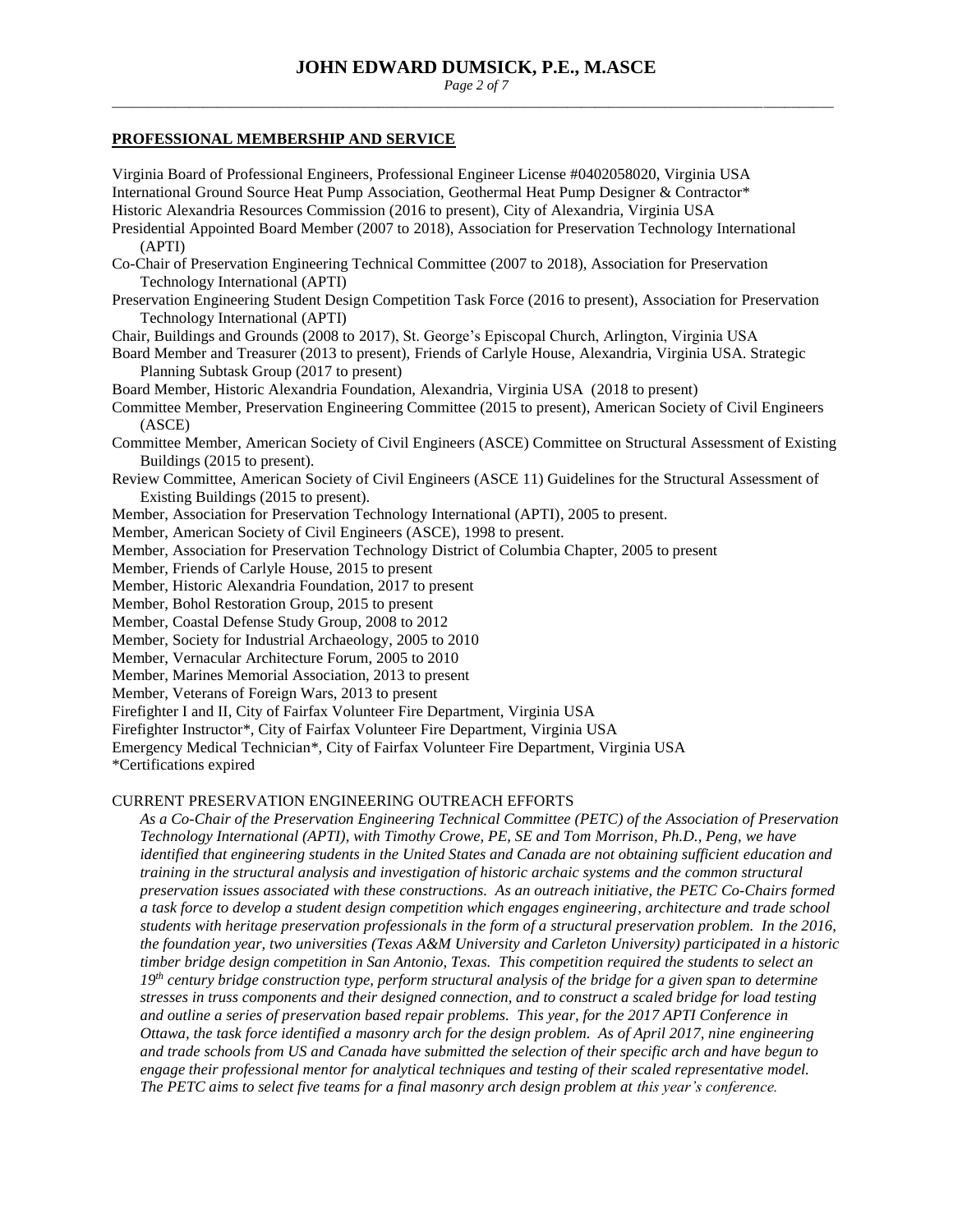*Page 2 of 7* \_\_\_\_\_\_\_\_\_\_\_\_\_\_\_\_\_\_\_\_\_\_\_\_\_\_\_\_\_\_\_\_\_\_\_\_\_\_\_\_\_\_\_\_\_\_\_\_\_\_\_\_\_\_\_\_\_\_\_\_\_\_\_\_\_\_\_\_\_\_\_\_\_\_\_\_\_\_\_\_\_\_\_\_\_\_\_\_\_\_\_\_\_\_\_\_\_\_\_\_\_\_\_

#### **PROFESSIONAL MEMBERSHIP AND SERVICE**

Virginia Board of Professional Engineers, Professional Engineer License #0402058020, Virginia USA International Ground Source Heat Pump Association, Geothermal Heat Pump Designer & Contractor\* Historic Alexandria Resources Commission (2016 to present), City of Alexandria, Virginia USA Presidential Appointed Board Member (2007 to 2018), Association for Preservation Technology International (APTI) Co-Chair of Preservation Engineering Technical Committee (2007 to 2018), Association for Preservation Technology International (APTI) Preservation Engineering Student Design Competition Task Force (2016 to present), Association for Preservation Technology International (APTI) Chair, Buildings and Grounds (2008 to 2017), St. George's Episcopal Church, Arlington, Virginia USA Board Member and Treasurer (2013 to present), Friends of Carlyle House, Alexandria, Virginia USA. Strategic Planning Subtask Group (2017 to present) Board Member, Historic Alexandria Foundation, Alexandria, Virginia USA (2018 to present) Committee Member, Preservation Engineering Committee (2015 to present), American Society of Civil Engineers (ASCE) Committee Member, American Society of Civil Engineers (ASCE) Committee on Structural Assessment of Existing Buildings (2015 to present). Review Committee, American Society of Civil Engineers (ASCE 11) Guidelines for the Structural Assessment of Existing Buildings (2015 to present). Member, Association for Preservation Technology International (APTI), 2005 to present. Member, American Society of Civil Engineers (ASCE), 1998 to present. Member, Association for Preservation Technology District of Columbia Chapter, 2005 to present Member, Friends of Carlyle House, 2015 to present Member, Historic Alexandria Foundation, 2017 to present Member, Bohol Restoration Group, 2015 to present Member, Coastal Defense Study Group, 2008 to 2012 Member, Society for Industrial Archaeology, 2005 to 2010 Member, Vernacular Architecture Forum, 2005 to 2010 Member, Marines Memorial Association, 2013 to present Member, Veterans of Foreign Wars, 2013 to present Firefighter I and II, City of Fairfax Volunteer Fire Department, Virginia USA Firefighter Instructor\*, City of Fairfax Volunteer Fire Department, Virginia USA Emergency Medical Technician\*, City of Fairfax Volunteer Fire Department, Virginia USA \*Certifications expired CURRENT PRESERVATION ENGINEERING OUTREACH EFFORTS *As a Co-Chair of the Preservation Engineering Technical Committee (PETC) of the Association of Preservation Technology International (APTI), with Timothy Crowe, PE, SE and Tom Morrison, Ph.D., Peng, we have identified that engineering students in the United States and Canada are not obtaining sufficient education and* 

*training in the structural analysis and investigation of historic archaic systems and the common structural preservation issues associated with these constructions. As an outreach initiative, the PETC Co-Chairs formed a task force to develop a student design competition which engages engineering, architecture and trade school students with heritage preservation professionals in the form of a structural preservation problem. In the 2016, the foundation year, two universities (Texas A&M University and Carleton University) participated in a historic timber bridge design competition in San Antonio, Texas. This competition required the students to select an 19th century bridge construction type, perform structural analysis of the bridge for a given span to determine stresses in truss components and their designed connection, and to construct a scaled bridge for load testing and outline a series of preservation based repair problems. This year, for the 2017 APTI Conference in Ottawa, the task force identified a masonry arch for the design problem. As of April 2017, nine engineering and trade schools from US and Canada have submitted the selection of their specific arch and have begun to engage their professional mentor for analytical techniques and testing of their scaled representative model. The PETC aims to select five teams for a final masonry arch design problem at this year's conference.*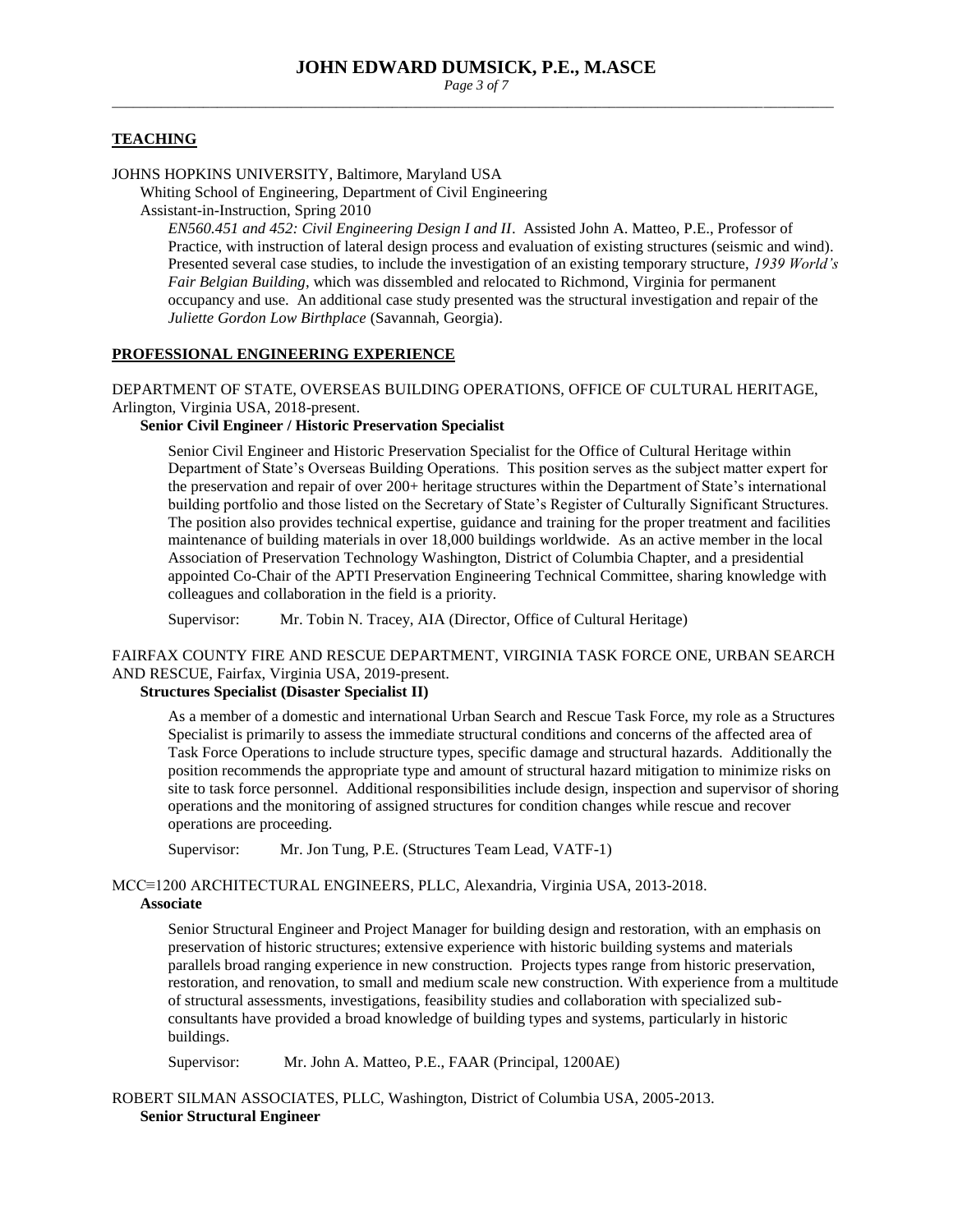*Page 3 of 7* \_\_\_\_\_\_\_\_\_\_\_\_\_\_\_\_\_\_\_\_\_\_\_\_\_\_\_\_\_\_\_\_\_\_\_\_\_\_\_\_\_\_\_\_\_\_\_\_\_\_\_\_\_\_\_\_\_\_\_\_\_\_\_\_\_\_\_\_\_\_\_\_\_\_\_\_\_\_\_\_\_\_\_\_\_\_\_\_\_\_\_\_\_\_\_\_\_\_\_\_\_\_\_

#### **TEACHING**

#### JOHNS HOPKINS UNIVERSITY, Baltimore, Maryland USA

Whiting School of Engineering, Department of Civil Engineering

Assistant-in-Instruction, Spring 2010

*EN560.451 and 452: Civil Engineering Design I and II*. Assisted John A. Matteo, P.E., Professor of Practice, with instruction of lateral design process and evaluation of existing structures (seismic and wind). Presented several case studies, to include the investigation of an existing temporary structure, *1939 World's Fair Belgian Building*, which was dissembled and relocated to Richmond, Virginia for permanent occupancy and use. An additional case study presented was the structural investigation and repair of the *Juliette Gordon Low Birthplace* (Savannah, Georgia).

### **PROFESSIONAL ENGINEERING EXPERIENCE**

## DEPARTMENT OF STATE, OVERSEAS BUILDING OPERATIONS, OFFICE OF CULTURAL HERITAGE, Arlington, Virginia USA, 2018-present.

#### **Senior Civil Engineer / Historic Preservation Specialist**

Senior Civil Engineer and Historic Preservation Specialist for the Office of Cultural Heritage within Department of State's Overseas Building Operations. This position serves as the subject matter expert for the preservation and repair of over 200+ heritage structures within the Department of State's international building portfolio and those listed on the Secretary of State's Register of Culturally Significant Structures. The position also provides technical expertise, guidance and training for the proper treatment and facilities maintenance of building materials in over 18,000 buildings worldwide. As an active member in the local Association of Preservation Technology Washington, District of Columbia Chapter, and a presidential appointed Co-Chair of the APTI Preservation Engineering Technical Committee, sharing knowledge with colleagues and collaboration in the field is a priority.

Supervisor: Mr. Tobin N. Tracey, AIA (Director, Office of Cultural Heritage)

# FAIRFAX COUNTY FIRE AND RESCUE DEPARTMENT, VIRGINIA TASK FORCE ONE, URBAN SEARCH AND RESCUE, Fairfax, Virginia USA, 2019-present.

#### **Structures Specialist (Disaster Specialist II)**

As a member of a domestic and international Urban Search and Rescue Task Force, my role as a Structures Specialist is primarily to assess the immediate structural conditions and concerns of the affected area of Task Force Operations to include structure types, specific damage and structural hazards. Additionally the position recommends the appropriate type and amount of structural hazard mitigation to minimize risks on site to task force personnel. Additional responsibilities include design, inspection and supervisor of shoring operations and the monitoring of assigned structures for condition changes while rescue and recover operations are proceeding.

Supervisor: Mr. Jon Tung, P.E. (Structures Team Lead, VATF-1)

# MCC≡1200 ARCHITECTURAL ENGINEERS, PLLC, Alexandria, Virginia USA, 2013-2018.

## **Associate**

Senior Structural Engineer and Project Manager for building design and restoration, with an emphasis on preservation of historic structures; extensive experience with historic building systems and materials parallels broad ranging experience in new construction. Projects types range from historic preservation, restoration, and renovation, to small and medium scale new construction. With experience from a multitude of structural assessments, investigations, feasibility studies and collaboration with specialized subconsultants have provided a broad knowledge of building types and systems, particularly in historic buildings.

Supervisor: Mr. John A. Matteo, P.E., FAAR (Principal, 1200AE)

ROBERT SILMAN ASSOCIATES, PLLC, Washington, District of Columbia USA, 2005-2013. **Senior Structural Engineer**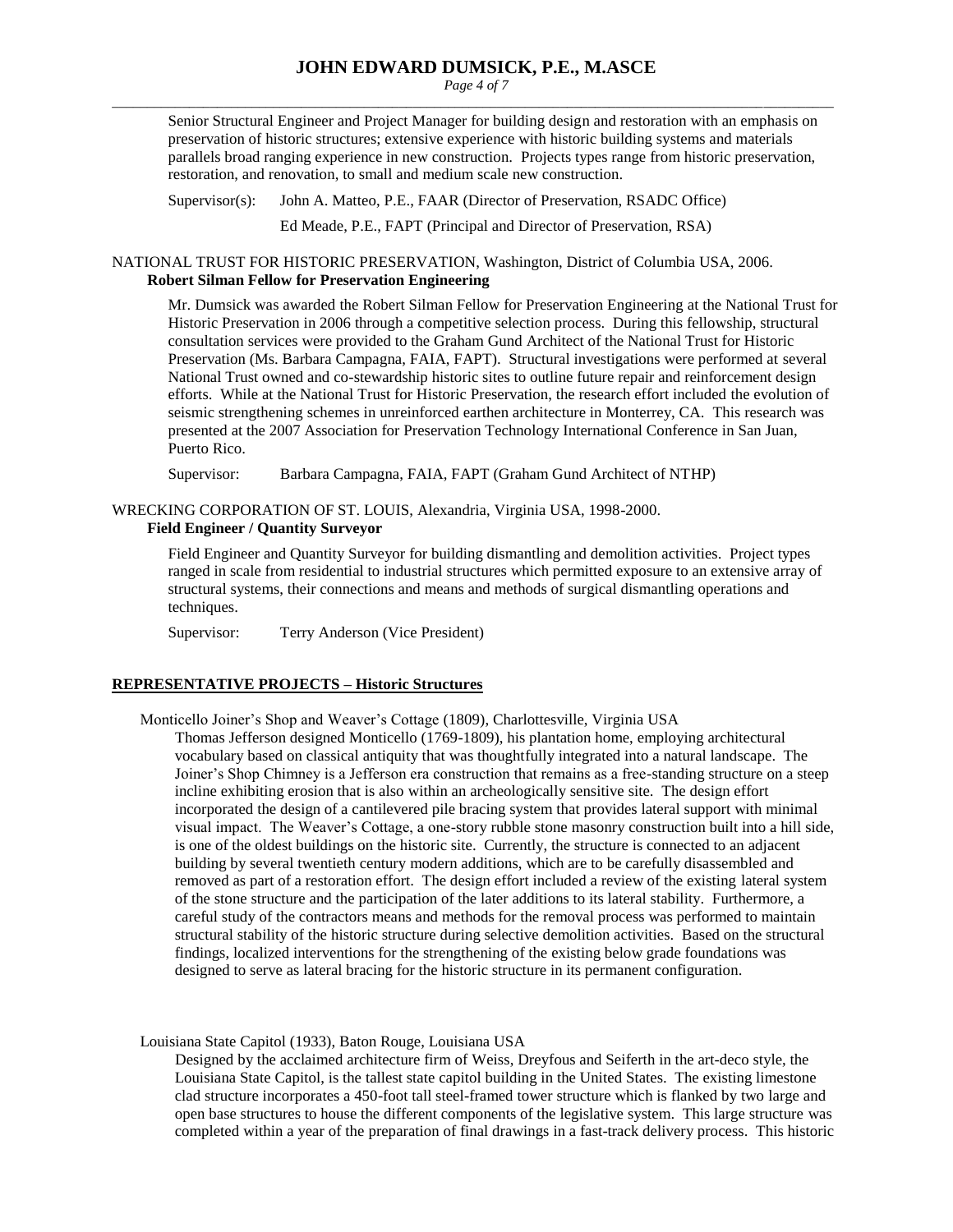*Page 4 of 7* \_\_\_\_\_\_\_\_\_\_\_\_\_\_\_\_\_\_\_\_\_\_\_\_\_\_\_\_\_\_\_\_\_\_\_\_\_\_\_\_\_\_\_\_\_\_\_\_\_\_\_\_\_\_\_\_\_\_\_\_\_\_\_\_\_\_\_\_\_\_\_\_\_\_\_\_\_\_\_\_\_\_\_\_\_\_\_\_\_\_\_\_\_\_\_\_\_\_\_\_\_\_\_

Senior Structural Engineer and Project Manager for building design and restoration with an emphasis on preservation of historic structures; extensive experience with historic building systems and materials parallels broad ranging experience in new construction. Projects types range from historic preservation, restoration, and renovation, to small and medium scale new construction.

Supervisor(s): John A. Matteo, P.E., FAAR (Director of Preservation, RSADC Office)

Ed Meade, P.E., FAPT (Principal and Director of Preservation, RSA)

NATIONAL TRUST FOR HISTORIC PRESERVATION, Washington, District of Columbia USA, 2006. **Robert Silman Fellow for Preservation Engineering**

Mr. Dumsick was awarded the Robert Silman Fellow for Preservation Engineering at the National Trust for Historic Preservation in 2006 through a competitive selection process. During this fellowship, structural consultation services were provided to the Graham Gund Architect of the National Trust for Historic Preservation (Ms. Barbara Campagna, FAIA, FAPT). Structural investigations were performed at several National Trust owned and co-stewardship historic sites to outline future repair and reinforcement design efforts. While at the National Trust for Historic Preservation, the research effort included the evolution of seismic strengthening schemes in unreinforced earthen architecture in Monterrey, CA. This research was presented at the 2007 Association for Preservation Technology International Conference in San Juan, Puerto Rico.

Supervisor: Barbara Campagna, FAIA, FAPT (Graham Gund Architect of NTHP)

WRECKING CORPORATION OF ST. LOUIS, Alexandria, Virginia USA, 1998-2000.

#### **Field Engineer / Quantity Surveyor**

Field Engineer and Quantity Surveyor for building dismantling and demolition activities. Project types ranged in scale from residential to industrial structures which permitted exposure to an extensive array of structural systems, their connections and means and methods of surgical dismantling operations and techniques.

Supervisor: Terry Anderson (Vice President)

## **REPRESENTATIVE PROJECTS – Historic Structures**

Monticello Joiner's Shop and Weaver's Cottage (1809), Charlottesville, Virginia USA

Thomas Jefferson designed Monticello (1769-1809), his plantation home, employing architectural vocabulary based on classical antiquity that was thoughtfully integrated into a natural landscape. The Joiner's Shop Chimney is a Jefferson era construction that remains as a free-standing structure on a steep incline exhibiting erosion that is also within an archeologically sensitive site. The design effort incorporated the design of a cantilevered pile bracing system that provides lateral support with minimal visual impact. The Weaver's Cottage, a one-story rubble stone masonry construction built into a hill side, is one of the oldest buildings on the historic site. Currently, the structure is connected to an adjacent building by several twentieth century modern additions, which are to be carefully disassembled and removed as part of a restoration effort. The design effort included a review of the existing lateral system of the stone structure and the participation of the later additions to its lateral stability. Furthermore, a careful study of the contractors means and methods for the removal process was performed to maintain structural stability of the historic structure during selective demolition activities. Based on the structural findings, localized interventions for the strengthening of the existing below grade foundations was designed to serve as lateral bracing for the historic structure in its permanent configuration.

Louisiana State Capitol (1933), Baton Rouge, Louisiana USA

Designed by the acclaimed architecture firm of Weiss, Dreyfous and Seiferth in the art-deco style, the Louisiana State Capitol, is the tallest state capitol building in the United States. The existing limestone clad structure incorporates a 450-foot tall steel-framed tower structure which is flanked by two large and open base structures to house the different components of the legislative system. This large structure was completed within a year of the preparation of final drawings in a fast-track delivery process. This historic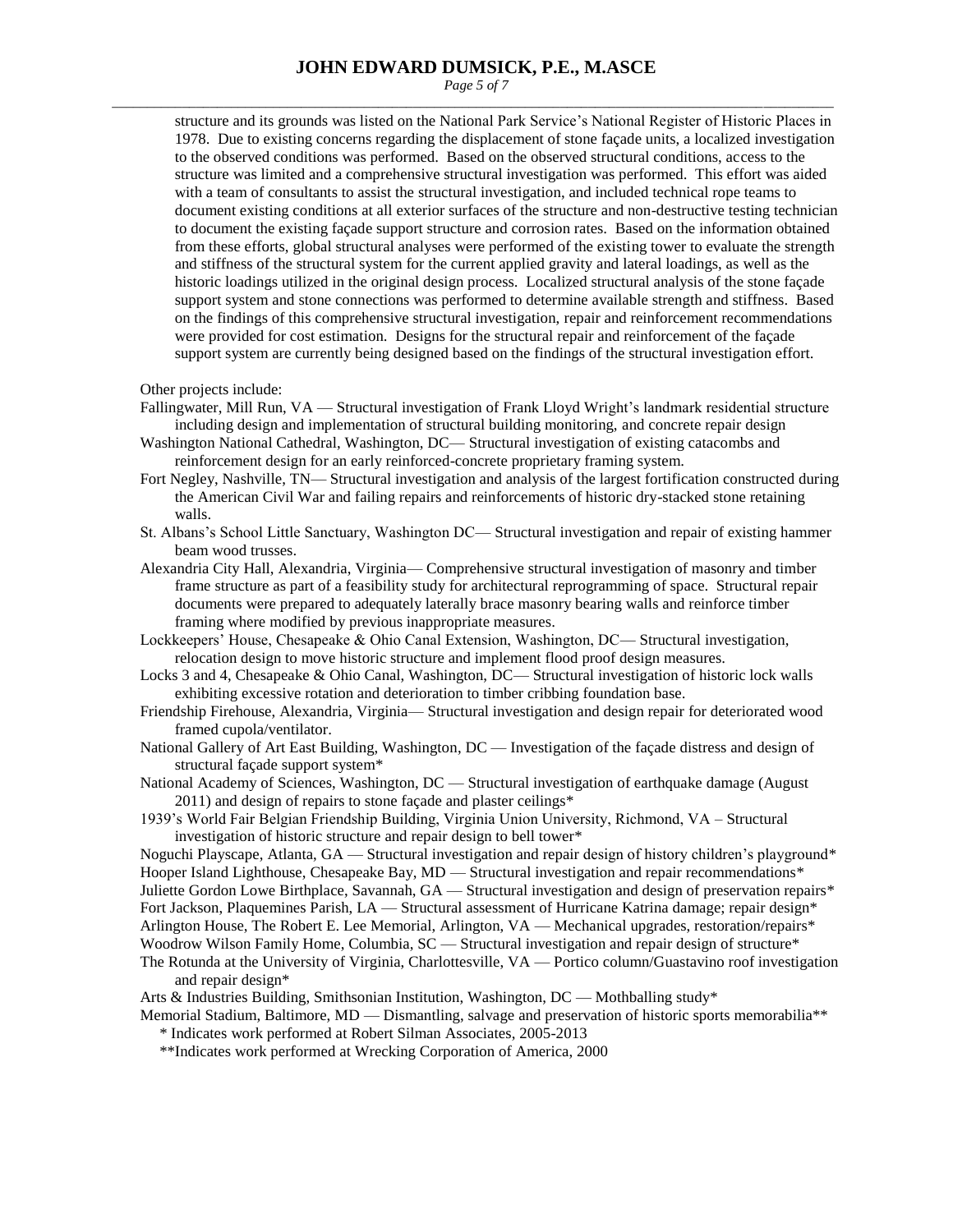*Page 5 of 7* \_\_\_\_\_\_\_\_\_\_\_\_\_\_\_\_\_\_\_\_\_\_\_\_\_\_\_\_\_\_\_\_\_\_\_\_\_\_\_\_\_\_\_\_\_\_\_\_\_\_\_\_\_\_\_\_\_\_\_\_\_\_\_\_\_\_\_\_\_\_\_\_\_\_\_\_\_\_\_\_\_\_\_\_\_\_\_\_\_\_\_\_\_\_\_\_\_\_\_\_\_\_\_

structure and its grounds was listed on the National Park Service's National Register of Historic Places in 1978. Due to existing concerns regarding the displacement of stone façade units, a localized investigation to the observed conditions was performed. Based on the observed structural conditions, access to the structure was limited and a comprehensive structural investigation was performed. This effort was aided with a team of consultants to assist the structural investigation, and included technical rope teams to document existing conditions at all exterior surfaces of the structure and non-destructive testing technician to document the existing façade support structure and corrosion rates. Based on the information obtained from these efforts, global structural analyses were performed of the existing tower to evaluate the strength and stiffness of the structural system for the current applied gravity and lateral loadings, as well as the historic loadings utilized in the original design process. Localized structural analysis of the stone façade support system and stone connections was performed to determine available strength and stiffness. Based on the findings of this comprehensive structural investigation, repair and reinforcement recommendations were provided for cost estimation. Designs for the structural repair and reinforcement of the façade support system are currently being designed based on the findings of the structural investigation effort.

Other projects include:

- Fallingwater, Mill Run, VA Structural investigation of Frank Lloyd Wright's landmark residential structure including design and implementation of structural building monitoring, and concrete repair design
- Washington National Cathedral, Washington, DC— Structural investigation of existing catacombs and reinforcement design for an early reinforced-concrete proprietary framing system.
- Fort Negley, Nashville, TN— Structural investigation and analysis of the largest fortification constructed during the American Civil War and failing repairs and reinforcements of historic dry-stacked stone retaining walls.
- St. Albans's School Little Sanctuary, Washington DC— Structural investigation and repair of existing hammer beam wood trusses.
- Alexandria City Hall, Alexandria, Virginia— Comprehensive structural investigation of masonry and timber frame structure as part of a feasibility study for architectural reprogramming of space. Structural repair documents were prepared to adequately laterally brace masonry bearing walls and reinforce timber framing where modified by previous inappropriate measures.
- Lockkeepers' House, Chesapeake & Ohio Canal Extension, Washington, DC— Structural investigation, relocation design to move historic structure and implement flood proof design measures.
- Locks 3 and 4, Chesapeake & Ohio Canal, Washington, DC— Structural investigation of historic lock walls exhibiting excessive rotation and deterioration to timber cribbing foundation base.
- Friendship Firehouse, Alexandria, Virginia— Structural investigation and design repair for deteriorated wood framed cupola/ventilator.
- National Gallery of Art East Building, Washington, DC Investigation of the façade distress and design of structural façade support system\*
- National Academy of Sciences, Washington, DC Structural investigation of earthquake damage (August 2011) and design of repairs to stone façade and plaster ceilings\*
- 1939's World Fair Belgian Friendship Building, Virginia Union University, Richmond, VA Structural investigation of historic structure and repair design to bell tower\*

Noguchi Playscape, Atlanta, GA — Structural investigation and repair design of history children's playground\* Hooper Island Lighthouse, Chesapeake Bay, MD — Structural investigation and repair recommendations\* Juliette Gordon Lowe Birthplace, Savannah, GA — Structural investigation and design of preservation repairs\* Fort Jackson, Plaquemines Parish, LA — Structural assessment of Hurricane Katrina damage; repair design\* Arlington House, The Robert E. Lee Memorial, Arlington, VA — Mechanical upgrades, restoration/repairs\* Woodrow Wilson Family Home, Columbia, SC — Structural investigation and repair design of structure\* The Rotunda at the University of Virginia, Charlottesville, VA — Portico column/Guastavino roof investigation

- and repair design\*
- Arts & Industries Building, Smithsonian Institution, Washington, DC Mothballing study\*
- Memorial Stadium, Baltimore, MD Dismantling, salvage and preservation of historic sports memorabilia\*\* \* Indicates work performed at Robert Silman Associates, 2005-2013
	- \*\*Indicates work performed at Wrecking Corporation of America, 2000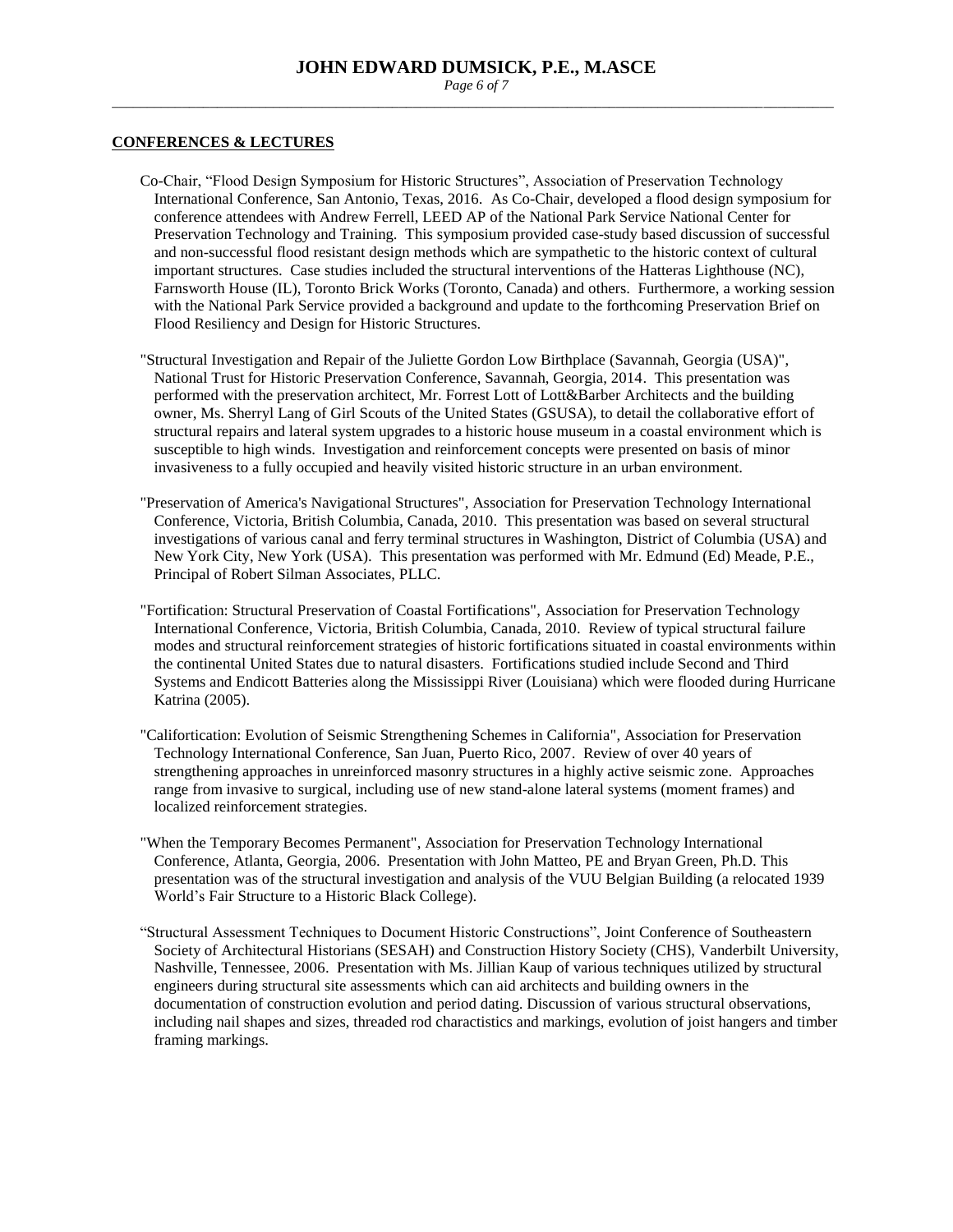*Page 6 of 7* \_\_\_\_\_\_\_\_\_\_\_\_\_\_\_\_\_\_\_\_\_\_\_\_\_\_\_\_\_\_\_\_\_\_\_\_\_\_\_\_\_\_\_\_\_\_\_\_\_\_\_\_\_\_\_\_\_\_\_\_\_\_\_\_\_\_\_\_\_\_\_\_\_\_\_\_\_\_\_\_\_\_\_\_\_\_\_\_\_\_\_\_\_\_\_\_\_\_\_\_\_\_\_

#### **CONFERENCES & LECTURES**

- Co-Chair, "Flood Design Symposium for Historic Structures", Association of Preservation Technology International Conference, San Antonio, Texas, 2016. As Co-Chair, developed a flood design symposium for conference attendees with Andrew Ferrell, LEED AP of the National Park Service National Center for Preservation Technology and Training. This symposium provided case-study based discussion of successful and non-successful flood resistant design methods which are sympathetic to the historic context of cultural important structures. Case studies included the structural interventions of the Hatteras Lighthouse (NC), Farnsworth House (IL), Toronto Brick Works (Toronto, Canada) and others. Furthermore, a working session with the National Park Service provided a background and update to the forthcoming Preservation Brief on Flood Resiliency and Design for Historic Structures.
- "Structural Investigation and Repair of the Juliette Gordon Low Birthplace (Savannah, Georgia (USA)", National Trust for Historic Preservation Conference, Savannah, Georgia, 2014. This presentation was performed with the preservation architect, Mr. Forrest Lott of Lott&Barber Architects and the building owner, Ms. Sherryl Lang of Girl Scouts of the United States (GSUSA), to detail the collaborative effort of structural repairs and lateral system upgrades to a historic house museum in a coastal environment which is susceptible to high winds. Investigation and reinforcement concepts were presented on basis of minor invasiveness to a fully occupied and heavily visited historic structure in an urban environment.
- "Preservation of America's Navigational Structures", Association for Preservation Technology International Conference, Victoria, British Columbia, Canada, 2010. This presentation was based on several structural investigations of various canal and ferry terminal structures in Washington, District of Columbia (USA) and New York City, New York (USA). This presentation was performed with Mr. Edmund (Ed) Meade, P.E., Principal of Robert Silman Associates, PLLC.
- "Fortification: Structural Preservation of Coastal Fortifications", Association for Preservation Technology International Conference, Victoria, British Columbia, Canada, 2010. Review of typical structural failure modes and structural reinforcement strategies of historic fortifications situated in coastal environments within the continental United States due to natural disasters. Fortifications studied include Second and Third Systems and Endicott Batteries along the Mississippi River (Louisiana) which were flooded during Hurricane Katrina (2005).
- "Califortication: Evolution of Seismic Strengthening Schemes in California", Association for Preservation Technology International Conference, San Juan, Puerto Rico, 2007. Review of over 40 years of strengthening approaches in unreinforced masonry structures in a highly active seismic zone. Approaches range from invasive to surgical, including use of new stand-alone lateral systems (moment frames) and localized reinforcement strategies.
- "When the Temporary Becomes Permanent", Association for Preservation Technology International Conference, Atlanta, Georgia, 2006. Presentation with John Matteo, PE and Bryan Green, Ph.D. This presentation was of the structural investigation and analysis of the VUU Belgian Building (a relocated 1939 World's Fair Structure to a Historic Black College).
- "Structural Assessment Techniques to Document Historic Constructions", Joint Conference of Southeastern Society of Architectural Historians (SESAH) and Construction History Society (CHS), Vanderbilt University, Nashville, Tennessee, 2006. Presentation with Ms. Jillian Kaup of various techniques utilized by structural engineers during structural site assessments which can aid architects and building owners in the documentation of construction evolution and period dating. Discussion of various structural observations, including nail shapes and sizes, threaded rod charactistics and markings, evolution of joist hangers and timber framing markings.